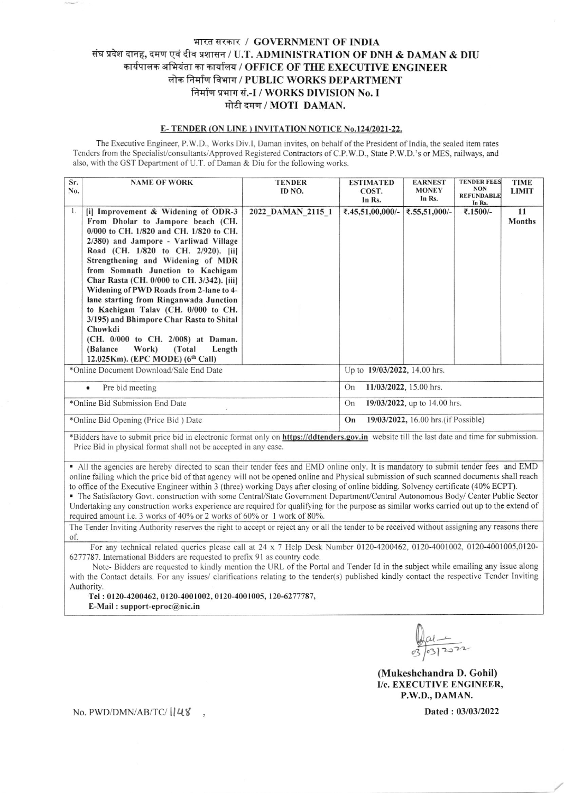## भारत सरकार / GOVERNMENT OF INDIA संघ प्रदेश दानह, दमण एवं दीव प्रशासन / U.T. ADMINISTRATION OF DNH & DAMAN & DIU कार्यपालक अभियंता का कार्यालय / OFFICE OF THE EXECUTIVE ENGINEER लोक निर्माण विभाग / PUBLIC WORKS DEPARTMENT निर्माण प्रभाग सं.-I / WORKS DIVISION No. I मोटी दमण / MOTI DAMAN.

## E-TENDER (ON LINE) INVITATION NOTICE No.124/2021-22.

The Executive Engineer, P.W.D., Works Div.I, Daman invites, on behalf of the President of India, the sealed item rates Tenders from the Specialist/consultants/Approved Registered Contractors of C.P.W.D., State P.W.D.'s or MES, railways, and also, with the GST Department of U.T. of Daman & Diu for the following works.

| Sr.<br>No.                              | <b>NAME OF WORK</b>                                                                                                                                                                                                                                                                                                                                                                                                                                                                                                                                                                                                                 | <b>TENDER</b><br>ID NO. | <b>ESTIMATED</b><br>COST.<br>In Rs.        | <b>EARNEST</b><br><b>MONEY</b><br>In Rs. | <b>TENDER FEES</b><br><b>NON</b><br><b>REFUNDABLE</b><br>In Rs. | <b>TIME</b><br><b>LIMIT</b> |  |
|-----------------------------------------|-------------------------------------------------------------------------------------------------------------------------------------------------------------------------------------------------------------------------------------------------------------------------------------------------------------------------------------------------------------------------------------------------------------------------------------------------------------------------------------------------------------------------------------------------------------------------------------------------------------------------------------|-------------------------|--------------------------------------------|------------------------------------------|-----------------------------------------------------------------|-----------------------------|--|
| 1.                                      | [i] Improvement & Widening of ODR-3<br>From Dholar to Jampore beach (CH.<br>0/000 to CH, 1/820 and CH, 1/820 to CH.<br>2/380) and Jampore - Varliwad Village<br>Road (CH. 1/820 to CH. 2/920). [ii]<br>Strengthening and Widening of MDR<br>from Somnath Junction to Kachigam<br>Char Rasta (CH. 0/000 to CH. 3/342). [iii]<br>Widening of PWD Roads from 2-lane to 4-<br>lane starting from Ringanwada Junction<br>to Kachigam Talav (CH. 0/000 to CH.<br>3/195) and Bhimpore Char Rasta to Shital<br>Chowkdi<br>(CH. 0/000 to CH. 2/008) at Daman.<br>Work)<br>(Total)<br>(Balance)<br>Length<br>12.025Km). (EPC MODE) (6th Call) | 2022 DAMAN 2115 1       | ₹.45,51,00,000/-                           | ₹.55,51,000/-                            | ₹.1500/-                                                        | 11<br><b>Months</b>         |  |
| *Online Document Download/Sale End Date |                                                                                                                                                                                                                                                                                                                                                                                                                                                                                                                                                                                                                                     |                         | Up to 19/03/2022, 14.00 hrs.               |                                          |                                                                 |                             |  |
| Pre bid meeting<br>$\bullet$            |                                                                                                                                                                                                                                                                                                                                                                                                                                                                                                                                                                                                                                     |                         | 11/03/2022, 15.00 hrs.<br>On               |                                          |                                                                 |                             |  |
| *Online Bid Submission End Date         |                                                                                                                                                                                                                                                                                                                                                                                                                                                                                                                                                                                                                                     |                         | 19/03/2022, up to 14.00 hrs.<br>On         |                                          |                                                                 |                             |  |
| *Online Bid Opening (Price Bid) Date    |                                                                                                                                                                                                                                                                                                                                                                                                                                                                                                                                                                                                                                     |                         | 19/03/2022, 16.00 hrs. (if Possible)<br>On |                                          |                                                                 |                             |  |

\*Bidders have to submit price bid in electronic format only on https://ddtenders.gov.in website till the last date and time for submission. Price Bid in physical format shall not be accepted in any case.

. All the agencies are hereby directed to scan thcir tender fees and EMD onlinc only. lt is mandatory to submit tender fees and EMD online failing which the price bid of that agency will not be opened online and Physical submission of such scanned documents shall reach to office of the Executive Engineer within 3 (three) working Days after closing of online bidding. Solvency certificate (40% ECPT).

· The Satisfactory Govt. construction with some Central/State Government Department/Central Autonomous Body/ Center Public Sector Undertaking any construction works experience are required for qualifying for the purpose as similar works carried out up to the extend of required amount i.e. 3 works of 40% or 2 works of 60% or 1 work of 80%.

The Tender Inviting Authority reserves the right to accept or reject any or all the tender to be received without assigning any reasons there of.

For any technical related queries please call at 24 x 7 Help Desk Number 0120-4200462, 0120-4001002, 0120-4001005,0120-6277787. International Bidders are requested to prefix 91 as country code.

Note- Bidders are requested to kindly mention thc URL ofthe Portal and Tender Id in the subject while emailing any issue along with the Contact details. For any issues/ clarifications relating to the tender(s) published kindly contact the respective Tender Inviting Authority.

Tel : 0120-4200462, 0120-4001002, 01204001005, 120-6277747, E-Mail : support-cproc@nic.in

03/03/20

(Mukeshchandra D. Gohil) I/c. EXECUTIVE ENGINEER, P.W.D., DAMAN.

No. PWD/DMN/AB/TC/ ||U8 ,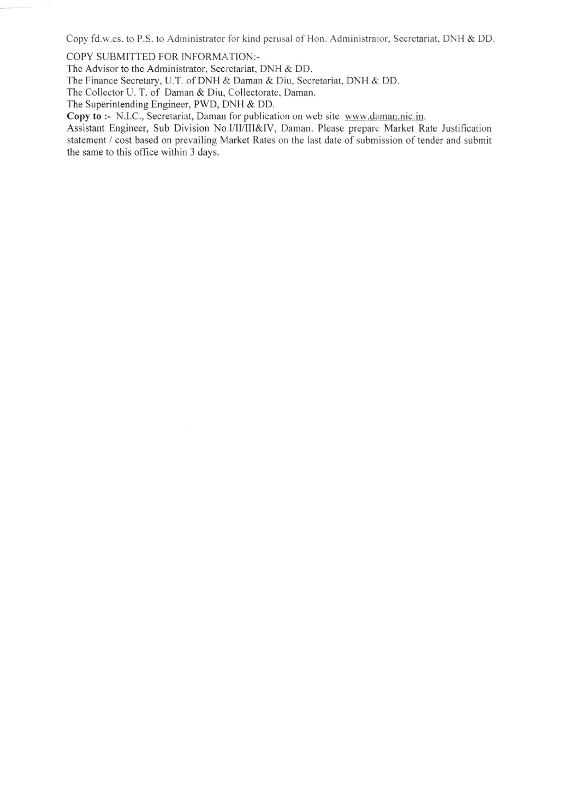Copy fd.w.cs. to P.S. to Administrator for kind perusal of Hon. Administrator, Secretariat, DNH & DD.

COPY SUBMITTED FOR INFORMATION:-

The Advisor to the Administrator, Secretariat, DNH & DD.

The Finance Secretary, U.T. of DNH & Daman & Diu, Secretariat, DNH & DD.

The Collector U. T. of Daman & Diu, Collectorate, Daman.

The Superintending Engineer, PWD, DNH & DD.

Copy to :- N.I.C., Secretariat, Damar for publication on web site www.daman.nic.in.

Assistant Engineer, Sub Division No.I/II/III&IV, Daman. Please prepare Market Rate Justification statement / cost based on prevailing Market Rates on the last date of submission of tender and submit the same to this office within 3 days.